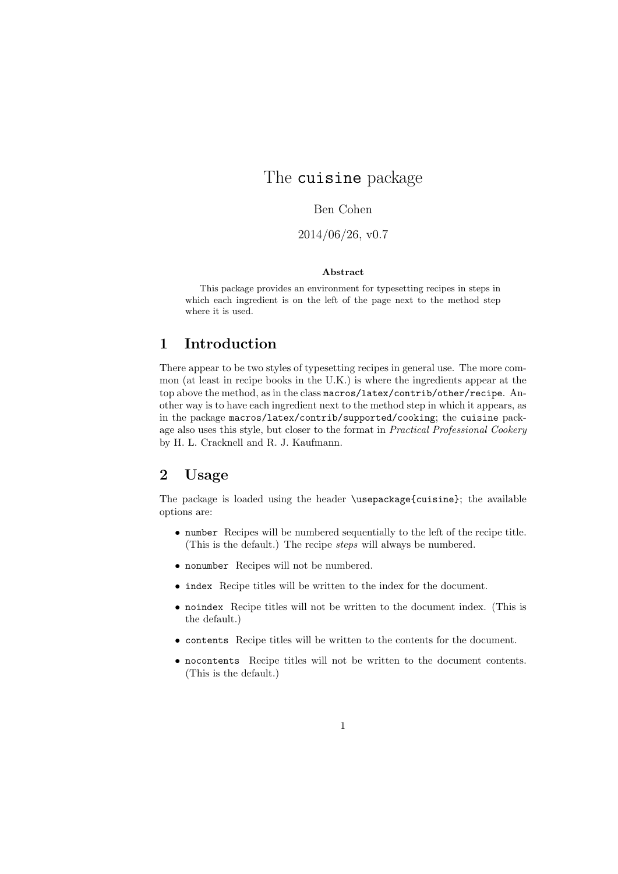# The cuisine package

#### Ben Cohen

2014/06/26, v0.7

#### Abstract

This package provides an environment for typesetting recipes in steps in which each ingredient is on the left of the page next to the method step where it is used.

## 1 Introduction

There appear to be two styles of typesetting recipes in general use. The more common (at least in recipe books in the U.K.) is where the ingredients appear at the top above the method, as in the class macros/latex/contrib/other/recipe. Another way is to have each ingredient next to the method step in which it appears, as in the package macros/latex/contrib/supported/cooking; the cuisine package also uses this style, but closer to the format in Practical Professional Cookery by H. L. Cracknell and R. J. Kaufmann.

## 2 Usage

The package is loaded using the header \usepackage{cuisine}; the available options are:

- number Recipes will be numbered sequentially to the left of the recipe title. (This is the default.) The recipe steps will always be numbered.
- nonumber Recipes will not be numbered.
- index Recipe titles will be written to the index for the document.
- noindex Recipe titles will not be written to the document index. (This is the default.)
- contents Recipe titles will be written to the contents for the document.
- nocontents Recipe titles will not be written to the document contents. (This is the default.)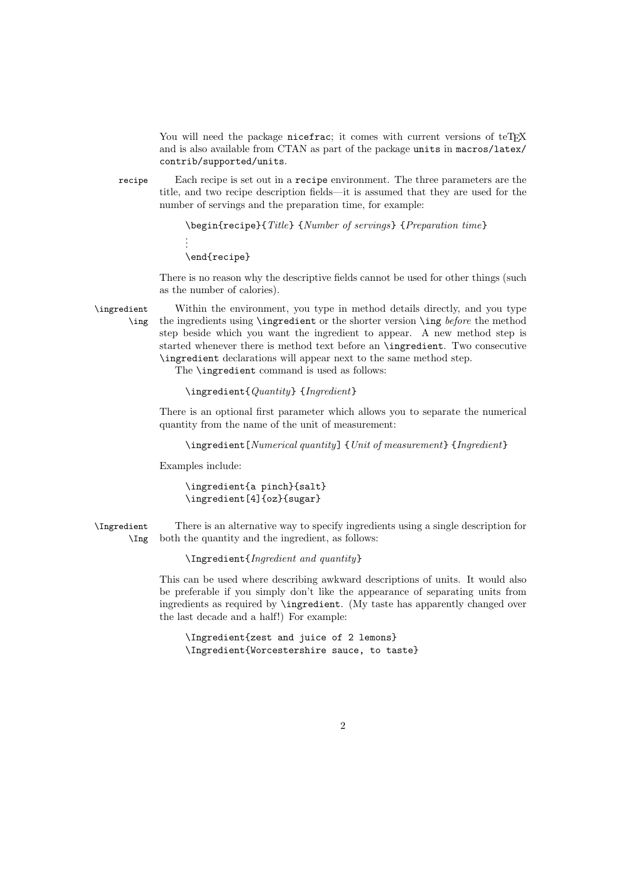You will need the package nicefrac; it comes with current versions of teTFX and is also available from CTAN as part of the package units in macros/latex/ contrib/supported/units.

recipe Each recipe is set out in a recipe environment. The three parameters are the title, and two recipe description fields—it is assumed that they are used for the number of servings and the preparation time, for example:

> \begin{recipe}{Title} {Number of servings} {Preparation time} . . . \end{recipe}

There is no reason why the descriptive fields cannot be used for other things (such as the number of calories).

\ingredient Within the environment, you type in method details directly, and you type \ing the ingredients using \ingredient or the shorter version \ing before the method step beside which you want the ingredient to appear. A new method step is started whenever there is method text before an \ingredient. Two consecutive \ingredient declarations will appear next to the same method step.

The \ingredient command is used as follows:

#### \ingredient{Quantity} {Ingredient}

There is an optional first parameter which allows you to separate the numerical quantity from the name of the unit of measurement:

\ingredient[Numerical quantity] {Unit of measurement} {Ingredient}

Examples include:

```
\ingredient{a pinch}{salt}
\ingredient[4]{oz}{sugar}
```
\Ingredient There is an alternative way to specify ingredients using a single description for \Ing both the quantity and the ingredient, as follows:

\Ingredient{Ingredient and quantity}

This can be used where describing awkward descriptions of units. It would also be preferable if you simply don't like the appearance of separating units from ingredients as required by \ingredient. (My taste has apparently changed over the last decade and a half!) For example:

\Ingredient{zest and juice of 2 lemons} \Ingredient{Worcestershire sauce, to taste}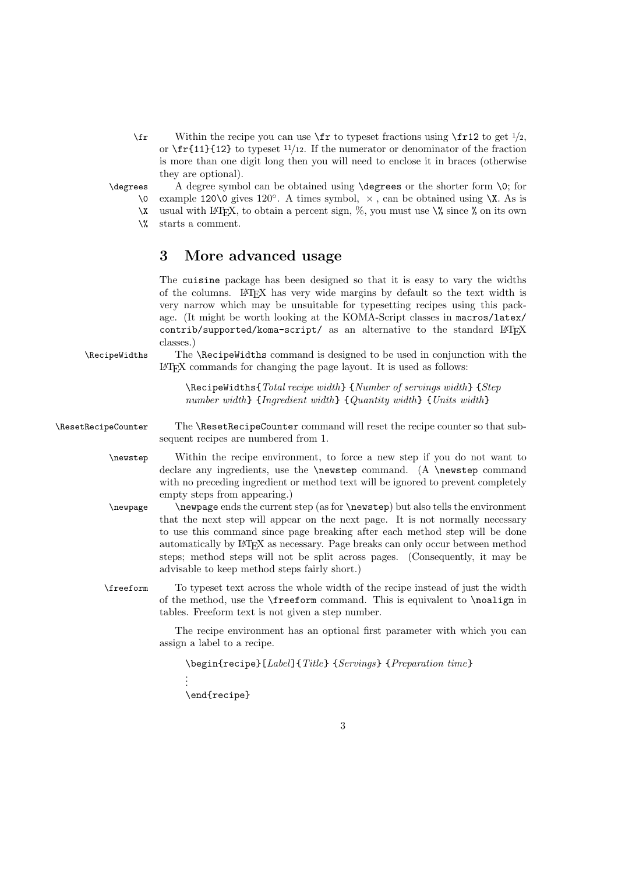$\frac{1}{r}$  Within the recipe you can use  $\frac{r}{r}$  to typeset fractions using  $\frac{r}{12}$  to get  $\frac{1}{2}$ . or  $\frac{r_{11}}{12}$  to typeset  $\frac{11}{12}$ . If the numerator or denominator of the fraction is more than one digit long then you will need to enclose it in braces (otherwise they are optional).

\degrees A degree symbol can be obtained using \degrees or the shorter form \0; for  $\lambda$ 0  $\chi$ example 120\0 gives 120°. A times symbol,  $\times$ , can be obtained using \X. As is usual with LAT<sub>EX</sub>, to obtain a percent sign,  $\%$ , you must use  $\%$  since  $\%$  on its own

 $\mathcal{N}$ starts a comment.

## 3 More advanced usage

The cuisine package has been designed so that it is easy to vary the widths of the columns. LATEX has very wide margins by default so the text width is very narrow which may be unsuitable for typesetting recipes using this package. (It might be worth looking at the KOMA-Script classes in macros/latex/ contrib/supported/koma-script/ as an alternative to the standard LATEX classes.)

\RecipeWidths The \RecipeWidths command is designed to be used in conjunction with the LATEX commands for changing the page layout. It is used as follows:

> \RecipeWidths{Total recipe width} {Number of servings width} {Step number width} {Ingredient width} {Quantity width} {Units width}

\ResetRecipeCounter The \ResetRecipeCounter command will reset the recipe counter so that subsequent recipes are numbered from 1.

> \newstep Within the recipe environment, to force a new step if you do not want to declare any ingredients, use the \newstep command. (A \newstep command with no preceding ingredient or method text will be ignored to prevent completely empty steps from appearing.)

\newpage \newpage ends the current step (as for \newstep) but also tells the environment that the next step will appear on the next page. It is not normally necessary to use this command since page breaking after each method step will be done automatically by LATEX as necessary. Page breaks can only occur between method steps; method steps will not be split across pages. (Consequently, it may be advisable to keep method steps fairly short.)

\freeform To typeset text across the whole width of the recipe instead of just the width of the method, use the \freeform command. This is equivalent to \noalign in tables. Freeform text is not given a step number.

> The recipe environment has an optional first parameter with which you can assign a label to a recipe.

\begin{recipe}[Label]{Title} {Servings} {Preparation time} . . . \end{recipe}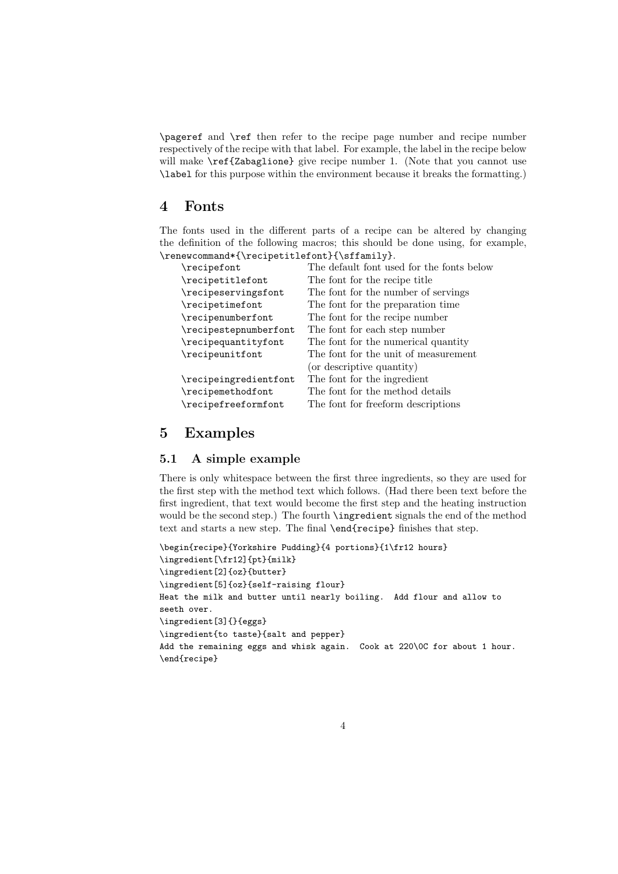\pageref and \ref then refer to the recipe page number and recipe number respectively of the recipe with that label. For example, the label in the recipe below will make **\ref{Zabaglione}** give recipe number 1. (Note that you cannot use \label for this purpose within the environment because it breaks the formatting.)

### 4 Fonts

The fonts used in the different parts of a recipe can be altered by changing the definition of the following macros; this should be done using, for example, \renewcommand\*{\recipetitlefont}{\sffamily}.

| The default font used for the fonts below |
|-------------------------------------------|
| The font for the recipe title             |
| The font for the number of servings       |
| The font for the preparation time         |
| The font for the recipe number            |
| The font for each step number             |
| The font for the numerical quantity       |
| The font for the unit of measurement      |
| (or descriptive quantity)                 |
| The font for the ingredient               |
| The font for the method details           |
| The font for freeform descriptions        |
|                                           |

#### 5 Examples

#### 5.1 A simple example

There is only whitespace between the first three ingredients, so they are used for the first step with the method text which follows. (Had there been text before the first ingredient, that text would become the first step and the heating instruction would be the second step.) The fourth \ingredient signals the end of the method text and starts a new step. The final \end{recipe} finishes that step.

```
\begin{recipe}{Yorkshire Pudding}{4 portions}{1\fr12 hours}
\ingredient[\fr12]{pt}{milk}
\ingredient[2]{oz}{butter}
\ingredient[5]{oz}{self-raising flour}
Heat the milk and butter until nearly boiling. Add flour and allow to
seeth over.
\ingredient[3]{}{eggs}
\ingredient{to taste}{salt and pepper}
Add the remaining eggs and whisk again. Cook at 220\0C for about 1 hour.
\end{recipe}
```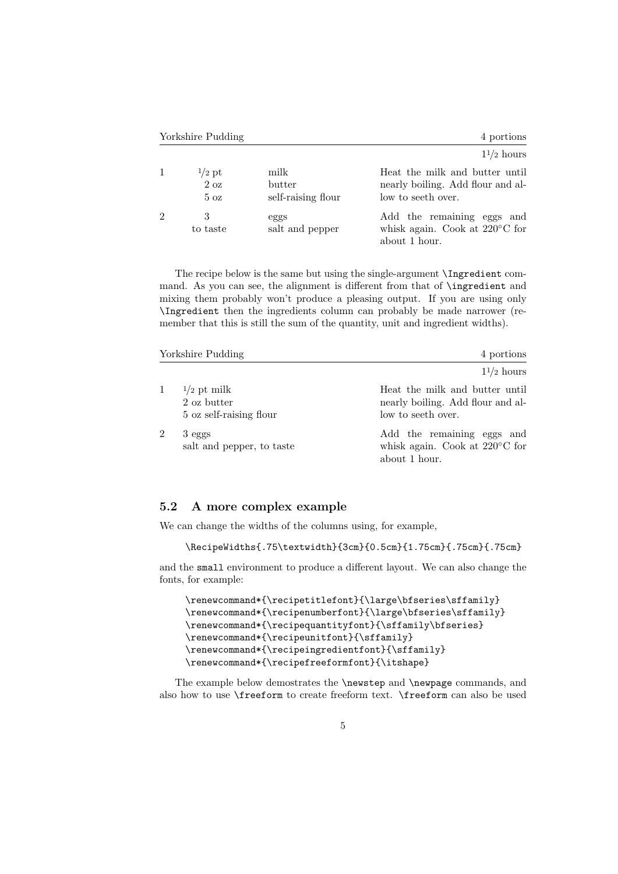| Yorkshire Pudding |                                                |                                      | 4 portions                                                                                 |
|-------------------|------------------------------------------------|--------------------------------------|--------------------------------------------------------------------------------------------|
|                   |                                                |                                      | $11/2$ hours                                                                               |
|                   | $1/2$ pt<br>$2 \text{ oz}$<br>$5\,\mathrm{oz}$ | milk<br>butter<br>self-raising flour | Heat the milk and butter until<br>nearly boiling. Add flour and al-<br>low to seeth over.  |
| $\overline{2}$    | 3<br>to taste                                  | eggs<br>salt and pepper              | Add the remaining eggs<br>and<br>whisk again. Cook at $220^{\circ}$ C for<br>about 1 hour. |

The recipe below is the same but using the single-argument \Ingredient command. As you can see, the alignment is different from that of \ingredient and mixing them probably won't produce a pleasing output. If you are using only \Ingredient then the ingredients column can probably be made narrower (remember that this is still the sum of the quantity, unit and ingredient widths).

| Yorkshire Pudding |                                                         | 4 portions                                                                                |
|-------------------|---------------------------------------------------------|-------------------------------------------------------------------------------------------|
|                   |                                                         | $11/2$ hours                                                                              |
|                   | $1/2$ pt milk<br>2 oz butter<br>5 oz self-raising flour | Heat the milk and butter until<br>nearly boiling. Add flour and al-<br>low to seeth over. |
| $\mathfrak{D}$    | 3 eggs<br>salt and pepper, to taste                     | Add the remaining eggs and<br>whisk again. Cook at $220^{\circ}$ C for<br>about 1 hour.   |

#### 5.2 A more complex example

We can change the widths of the columns using, for example,

```
\RecipeWidths{.75\textwidth}{3cm}{0.5cm}{1.75cm}{.75cm}{.75cm}
```
and the small environment to produce a different layout. We can also change the fonts, for example:

```
\renewcommand*{\recipetitlefont}{\large\bfseries\sffamily}
\renewcommand*{\recipenumberfont}{\large\bfseries\sffamily}
\renewcommand*{\recipequantityfont}{\sffamily\bfseries}
\renewcommand*{\recipeunitfont}{\sffamily}
\renewcommand*{\recipeingredientfont}{\sffamily}
\renewcommand*{\recipefreeformfont}{\itshape}
```
The example below demostrates the \newstep and \newpage commands, and also how to use \freeform to create freeform text. \freeform can also be used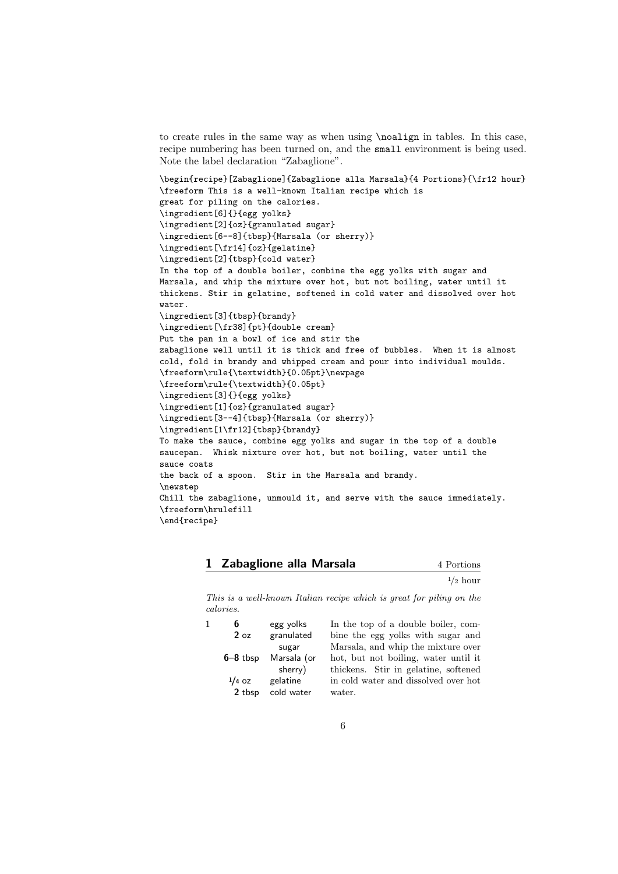to create rules in the same way as when using \noalign in tables. In this case, recipe numbering has been turned on, and the small environment is being used. Note the label declaration "Zabaglione".

```
\begin{recipe}[Zabaglione]{Zabaglione alla Marsala}{4 Portions}{\fr12 hour}
\freeform This is a well-known Italian recipe which is
great for piling on the calories.
\ingredient[6]{}{egg yolks}
\ingredient[2]{oz}{granulated sugar}
\ingredient[6--8]{tbsp}{Marsala (or sherry)}
\ingredient[\fr14]{oz}{gelatine}
\ingredient[2]{tbsp}{cold water}
In the top of a double boiler, combine the egg yolks with sugar and
Marsala, and whip the mixture over hot, but not boiling, water until it
thickens. Stir in gelatine, softened in cold water and dissolved over hot
water.
\ingredient[3]{tbsp}{brandy}
\ingredient[\fr38]{pt}{double cream}
Put the pan in a bowl of ice and stir the
zabaglione well until it is thick and free of bubbles. When it is almost
cold, fold in brandy and whipped cream and pour into individual moulds.
\freeform\rule{\textwidth}{0.05pt}\newpage
\freeform\rule{\textwidth}{0.05pt}
\ingredient[3]{}{egg yolks}
\ingredient[1]{oz}{granulated sugar}
\ingredient[3--4]{tbsp}{Marsala (or sherry)}
\ingredient[1\fr12]{tbsp}{brandy}
To make the sauce, combine egg yolks and sugar in the top of a double
saucepan. Whisk mixture over hot, but not boiling, water until the
sauce coats
the back of a spoon. Stir in the Marsala and brandy.
\newstep
Chill the zabaglione, unmould it, and serve with the sauce immediately.
\freeform\hrulefill
\end{recipe}
```
#### 1 Zabaglione alla Marsala 4 Portions

 $1/2$  hour

This is a well-known Italian recipe which is great for piling on the calories.

| 1 | 6        | egg yolks              | In the top of a double boiler, com-  |
|---|----------|------------------------|--------------------------------------|
|   | 2 oz     | granulated             | bine the egg yolks with sugar and    |
|   |          | sugar                  | Marsala, and whip the mixture over   |
|   |          | $6-8$ tbsp Marsala (or | hot, but not boiling, water until it |
|   |          | sherry)                | thickens. Stir in gelatine, softened |
|   | $1/4$ oz | gelatine               | in cold water and dissolved over hot |
|   | 2 tbsp   | cold water             | water.                               |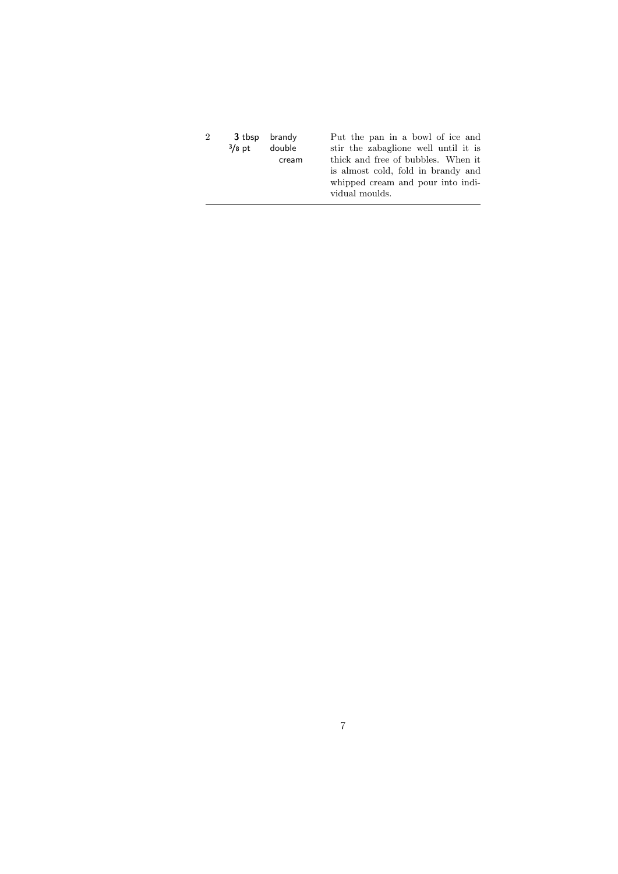| $\overline{2}$ |          | 3 tbsp brandy | Put the pan in a bowl of ice and     |
|----------------|----------|---------------|--------------------------------------|
|                | $3/8$ pt | double        | stir the zabaglione well until it is |
|                |          | cream         | thick and free of bubbles. When it   |
|                |          |               | is almost cold, fold in brandy and   |
|                |          |               | whipped cream and pour into indi-    |
|                |          |               | vidual moulds.                       |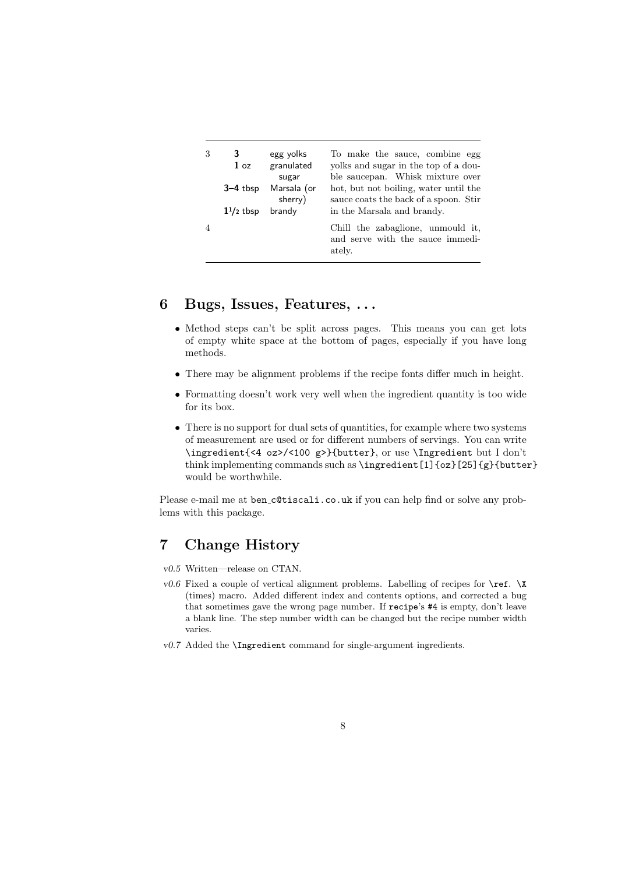| 3 | 3<br>1 <sub>oz</sub> | egg yolks<br>granulated<br>sugar | To make the sauce, combine egg<br>yolks and sugar in the top of a dou-<br>ble saucepan. Whisk mixture over |
|---|----------------------|----------------------------------|------------------------------------------------------------------------------------------------------------|
|   | $3-4$ tbsp           | Marsala (or<br>sherry)           | hot, but not boiling, water until the<br>sauce coats the back of a spoon. Stir                             |
|   | $11/2$ tbsp          | brandy                           | in the Marsala and brandy.                                                                                 |
|   |                      |                                  | Chill the zabaglione, unmould it,<br>and serve with the sauce immedi-<br>ately.                            |

## 6 Bugs, Issues, Features, . . .

- Method steps can't be split across pages. This means you can get lots of empty white space at the bottom of pages, especially if you have long methods.
- There may be alignment problems if the recipe fonts differ much in height.
- Formatting doesn't work very well when the ingredient quantity is too wide for its box.
- There is no support for dual sets of quantities, for example where two systems of measurement are used or for different numbers of servings. You can write \ingredient{<4 oz>/<100 g>}{butter}, or use \Ingredient but I don't think implementing commands such as \ingredient[1]{oz}[25]{g}{butter} would be worthwhile.

Please e-mail me at ben\_c@tiscali.co.uk if you can help find or solve any problems with this package.

## 7 Change History

- v0.5 Written—release on CTAN.
- $v0.6$  Fixed a couple of vertical alignment problems. Labelling of recipes for  $\ref. \X$ (times) macro. Added different index and contents options, and corrected a bug that sometimes gave the wrong page number. If recipe's #4 is empty, don't leave a blank line. The step number width can be changed but the recipe number width varies.
- v0.7 Added the \Ingredient command for single-argument ingredients.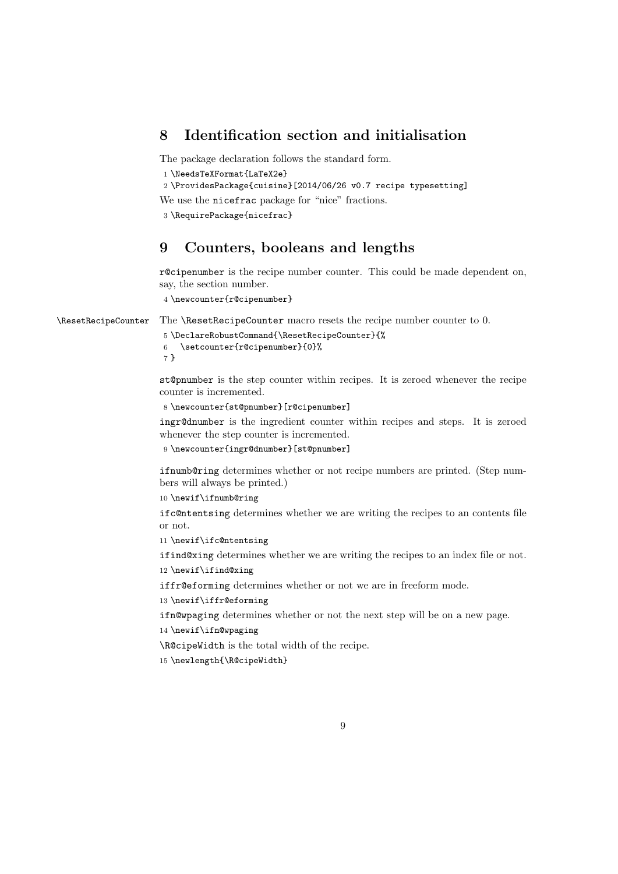## 8 Identification section and initialisation

The package declaration follows the standard form.

```
1 \NeedsTeXFormat{LaTeX2e}
```

```
2 \ProvidesPackage{cuisine}[2014/06/26 v0.7 recipe typesetting]
```
We use the nicefrac package for "nice" fractions.

3 \RequirePackage{nicefrac}

## 9 Counters, booleans and lengths

r@cipenumber is the recipe number counter. This could be made dependent on, say, the section number.

4 \newcounter{r@cipenumber}

\ResetRecipeCounter The \ResetRecipeCounter macro resets the recipe number counter to 0.

```
5 \DeclareRobustCommand{\ResetRecipeCounter}{%
6 \setcounter{r@cipenumber}{0}%
7 }
```
st@pnumber is the step counter within recipes. It is zeroed whenever the recipe counter is incremented.

```
8 \newcounter{st@pnumber}[r@cipenumber]
```
ingr@dnumber is the ingredient counter within recipes and steps. It is zeroed whenever the step counter is incremented.

```
9 \newcounter{ingr@dnumber}[st@pnumber]
```
ifnumb@ring determines whether or not recipe numbers are printed. (Step numbers will always be printed.)

10 \newif\ifnumb@ring

ifc@ntentsing determines whether we are writing the recipes to an contents file or not.

```
11 \newif\ifc@ntentsing
```
ifind@xing determines whether we are writing the recipes to an index file or not.

```
12 \newif\ifind@xing
```
iffr@eforming determines whether or not we are in freeform mode.

```
13 \newif\iffr@eforming
```
ifn@wpaging determines whether or not the next step will be on a new page. 14 \newif\ifn@wpaging

\R@cipeWidth is the total width of the recipe.

15 \newlength{\R@cipeWidth}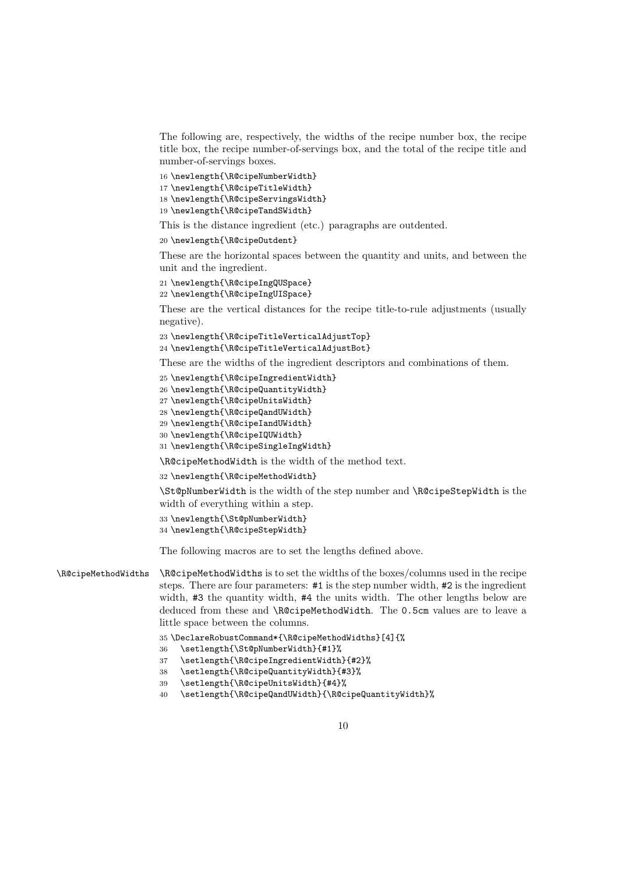The following are, respectively, the widths of the recipe number box, the recipe title box, the recipe number-of-servings box, and the total of the recipe title and number-of-servings boxes.

16 \newlength{\R@cipeNumberWidth}

17 \newlength{\R@cipeTitleWidth}

18 \newlength{\R@cipeServingsWidth}

19 \newlength{\R@cipeTandSWidth}

This is the distance ingredient (etc.) paragraphs are outdented.

20 \newlength{\R@cipeOutdent}

These are the horizontal spaces between the quantity and units, and between the unit and the ingredient.

21 \newlength{\R@cipeIngQUSpace}

22 \newlength{\R@cipeIngUISpace}

These are the vertical distances for the recipe title-to-rule adjustments (usually negative).

23 \newlength{\R@cipeTitleVerticalAdjustTop}

24 \newlength{\R@cipeTitleVerticalAdjustBot}

These are the widths of the ingredient descriptors and combinations of them.

25 \newlength{\R@cipeIngredientWidth}

26 \newlength{\R@cipeQuantityWidth}

27 \newlength{\R@cipeUnitsWidth}

28 \newlength{\R@cipeQandUWidth}

- 29 \newlength{\R@cipeIandUWidth}
- 30 \newlength{\R@cipeIQUWidth}
- 31 \newlength{\R@cipeSingleIngWidth}

\R@cipeMethodWidth is the width of the method text.

32 \newlength{\R@cipeMethodWidth}

\St@pNumberWidth is the width of the step number and \R@cipeStepWidth is the width of everything within a step.

33 \newlength{\St@pNumberWidth}

34 \newlength{\R@cipeStepWidth}

The following macros are to set the lengths defined above.

\R@cipeMethodWidths \R@cipeMethodWidths is to set the widths of the boxes/columns used in the recipe steps. There are four parameters: #1 is the step number width, #2 is the ingredient width, #3 the quantity width, #4 the units width. The other lengths below are deduced from these and \R@cipeMethodWidth. The 0.5cm values are to leave a little space between the columns.

35 \DeclareRobustCommand\*{\R@cipeMethodWidths}[4]{%

36 \setlength{\St@pNumberWidth}{#1}%

37 \setlength{\R@cipeIngredientWidth}{#2}%

- 38 \setlength{\R@cipeQuantityWidth}{#3}%
- 39 \setlength{\R@cipeUnitsWidth}{#4}%
- 40 \setlength{\R@cipeQandUWidth}{\R@cipeQuantityWidth}%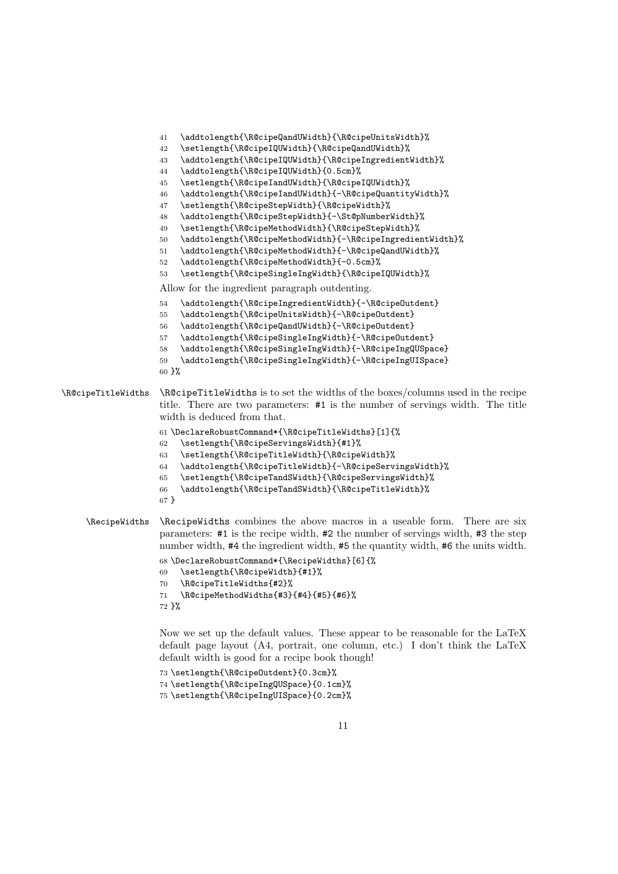|                    | \addtolength{\R@cipeQandUWidth}{\R@cipeUnitsWidth}%<br>$41\,$<br>\setlength{\R@cipeIQUWidth}{\R@cipeQandUWidth}%<br>42<br>\addtolength{\R@cipeIQUWidth}{\R@cipeIngredientWidth}%<br>43<br>\addtolength{\R@cipeIQUWidth}{0.5cm}%<br>44<br>\setlength{\R@cipeIandUWidth}{\R@cipeIQUWidth}%<br>45<br>\addtolength{\R@cipeIandUWidth}{-\R@cipeQuantityWidth}%<br>46<br>\setlength{\R@cipeStepWidth}{\R@cipeWidth}%<br>47<br>\addtolength{\R@cipeStepWidth}{-\St@pNumberWidth}%<br>48<br>\setlength{\R@cipeMethodWidth}{\R@cipeStepWidth}%<br>49<br>\addtolength{\R@cipeMethodWidth}{-\R@cipeIngredientWidth}%<br>50<br>\addtolength{\R@cipeMethodWidth}{-\R@cipeQandUWidth}%<br>51<br>$52\,$<br>\addtolength{\R@cipeMethodWidth}{-0.5cm}%<br>\setlength{\R@cipeSingleIngWidth}{\R@cipeIQUWidth}%<br>53<br>Allow for the ingredient paragraph outdenting. |
|--------------------|------------------------------------------------------------------------------------------------------------------------------------------------------------------------------------------------------------------------------------------------------------------------------------------------------------------------------------------------------------------------------------------------------------------------------------------------------------------------------------------------------------------------------------------------------------------------------------------------------------------------------------------------------------------------------------------------------------------------------------------------------------------------------------------------------------------------------------------------------|
|                    | \addtolength{\R@cipeIngredientWidth}{-\R@cipeOutdent}<br>54<br>\addtolength{\R@cipeUnitsWidth}{-\R@cipeOutdent}<br>55<br>\addtolength{\R@cipeQandUWidth}{-\R@cipeOutdent}<br>56<br>\addtolength{\R@cipeSingleIngWidth}{-\R@cipeOutdent}<br>57<br>\addtolength{\R@cipeSingleIngWidth}{-\R@cipeIngQUSpace}<br>58<br>\addtolength{\R@cipeSingleIngWidth}{-\R@cipeIngUISpace}<br>59<br>$60 \frac{1}{6}$                                                                                                                                                                                                                                                                                                                                                                                                                                                  |
| \R@cipeTitleWidths | \R@cipeTitleWidths is to set the widths of the boxes/columns used in the recipe<br>title. There are two parameters: #1 is the number of servings width. The title<br>width is deduced from that.<br>61 \DeclareRobustCommand*{\R@cipeTitleWidths}[1]{%<br>\setlength{\R@cipeServingsWidth}{#1}%<br>62<br>\setlength{\R@cipeTitleWidth}{\R@cipeWidth}%<br>63<br>\addtolength{\R@cipeTitleWidth}{-\R@cipeServingsWidth}%<br>64<br>\setlength{\R@cipeTandSWidth}{\R@cipeServingsWidth}%<br>65<br>\addtolength{\R@cipeTandSWidth}{\R@cipeTitleWidth}%<br>66<br>67 }                                                                                                                                                                                                                                                                                      |
| \RecipeWidths      | \RecipeWidths combines the above macros in a useable form. There are six<br>parameters: #1 is the recipe width, #2 the number of servings width, #3 the step<br>number width, #4 the ingredient width, #5 the quantity width, #6 the units width.<br>68 \DeclareRobustCommand*{\RecipeWidths}[6]{%<br>\setlength{\R@cipeWidth}{#1}%<br>69<br>\R@cipeTitleWidths{#2}%<br>70<br>\R@cipeMethodWidths{#3}{#4}{#5}{#6}%<br>71<br>72 }%<br>Now we set up the default values. These appear to be reasonable for the LaTeX<br>default page layout $(A4, portrait, one column, etc.)$ I don't think the LaTeX<br>default width is good for a recipe book though!                                                                                                                                                                                              |

 \setlength{\R@cipeOutdent}{0.3cm}% \setlength{\R@cipeIngQUSpace}{0.1cm}%

\setlength{\R@cipeIngUISpace}{0.2cm}%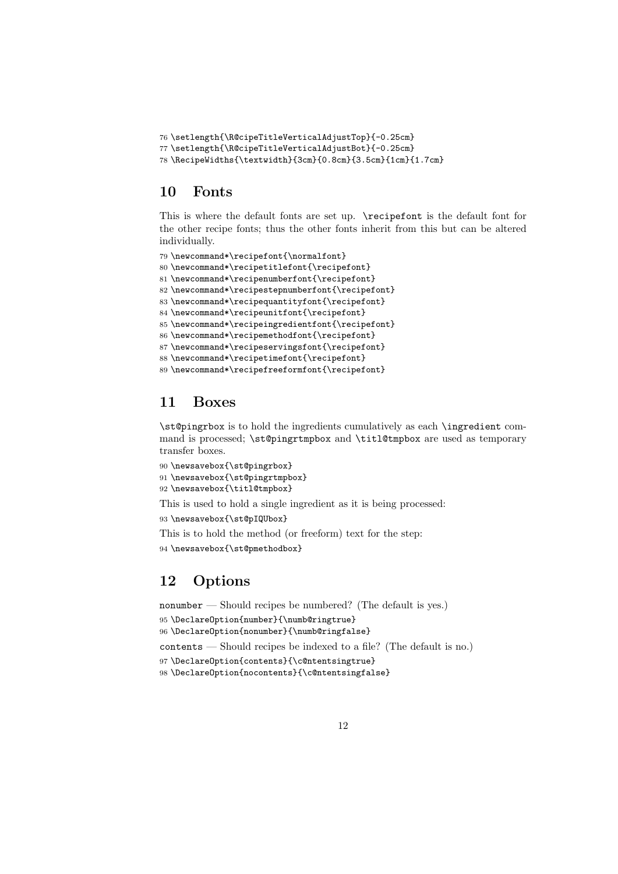```
76 \setlength{\R@cipeTitleVerticalAdjustTop}{-0.25cm}
77 \setlength{\R@cipeTitleVerticalAdjustBot}{-0.25cm}
78 \RecipeWidths{\textwidth}{3cm}{0.8cm}{3.5cm}{1cm}{1.7cm}
```
## 10 Fonts

This is where the default fonts are set up. \recipefont is the default font for the other recipe fonts; thus the other fonts inherit from this but can be altered individually.

```
79 \newcommand*\recipefont{\normalfont}
80 \newcommand*\recipetitlefont{\recipefont}
81 \newcommand*\recipenumberfont{\recipefont}
82 \newcommand*\recipestepnumberfont{\recipefont}
83\newcommand*\recipequantityfont{\recipefont}
84 \newcommand*\recipeunitfont{\recipefont}
85\newcommand*\recipeingredientfont{\recipefont}
86 \newcommand*\recipemethodfont{\recipefont}
87 \newcommand*\recipeservingsfont{\recipefont}
88\newcommand*\recipetimefont{\recipefont}
89 \newcommand*\recipefreeformfont{\recipefont}
```
## 11 Boxes

\st@pingrbox is to hold the ingredients cumulatively as each \ingredient command is processed; \st@pingrtmpbox and \titl@tmpbox are used as temporary transfer boxes.

```
90 \newsavebox{\st@pingrbox}
91 \newsavebox{\st@pingrtmpbox}
92 \newsavebox{\titl@tmpbox}
```
This is used to hold a single ingredient as it is being processed:

```
93 \newsavebox{\st@pIQUbox}
```
This is to hold the method (or freeform) text for the step:

94 \newsavebox{\st@pmethodbox}

## 12 Options

```
nonumber — Should recipes be numbered? (The default is yes.)
95 \DeclareOption{number}{\numb@ringtrue}
96 \DeclareOption{nonumber}{\numb@ringfalse}
contents — Should recipes be indexed to a file? (The default is no.)
97 \DeclareOption{contents}{\c@ntentsingtrue}
98 \DeclareOption{nocontents}{\c@ntentsingfalse}
```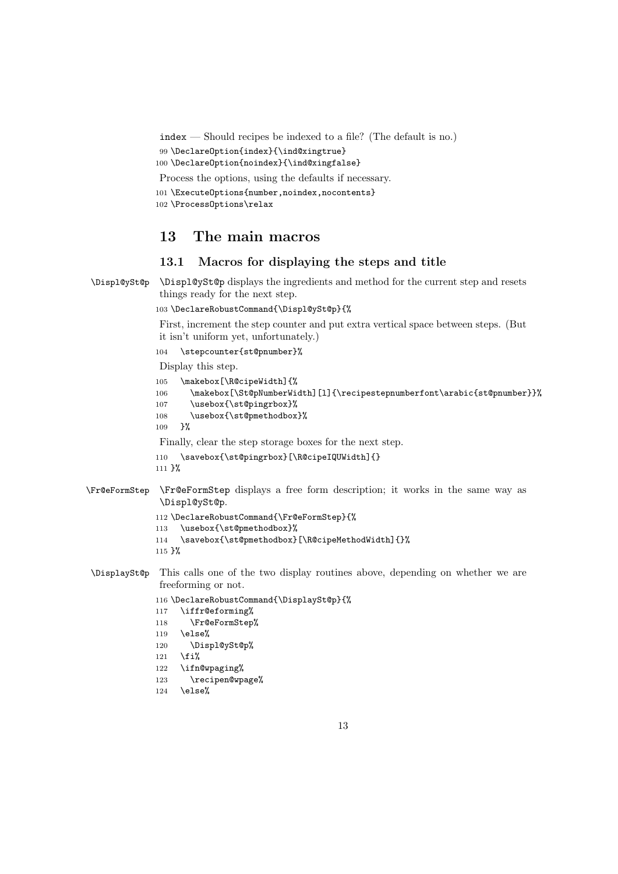index — Should recipes be indexed to a file? (The default is no.) 99 \DeclareOption{index}{\ind@xingtrue} 100 \DeclareOption{noindex}{\ind@xingfalse} Process the options, using the defaults if necessary.

```
101 \ExecuteOptions{number,noindex,nocontents}
102 \ProcessOptions\relax
```
## 13 The main macros

#### 13.1 Macros for displaying the steps and title

\Displ@ySt@p \Displ@ySt@p displays the ingredients and method for the current step and resets things ready for the next step.

103 \DeclareRobustCommand{\Displ@ySt@p}{%

First, increment the step counter and put extra vertical space between steps. (But it isn't uniform yet, unfortunately.)

```
104 \stepcounter{st@pnumber}%
```
Display this step.

```
105 \makebox[\R@cipeWidth]{%
106 \makebox[\St@pNumberWidth][l]{\recipestepnumberfont\arabic{st@pnumber}}%
107 \usebox{\st@pingrbox}%
108 \usebox{\st@pmethodbox}%
109 }%
Finally, clear the step storage boxes for the next step.
110 \savebox{\st@pingrbox}[\R@cipeIQUWidth]{}
```

```
111 }%
```
\Fr@eFormStep \Fr@eFormStep displays a free form description; it works in the same way as \Displ@ySt@p.

```
112 \DeclareRobustCommand{\Fr@eFormStep}{%
113 \usebox{\st@pmethodbox}%
114 \savebox{\st@pmethodbox}[\R@cipeMethodWidth]{}%
115 }%
```
\DisplaySt@p This calls one of the two display routines above, depending on whether we are freeforming or not.

```
116 \DeclareRobustCommand{\DisplaySt@p}{%
117 \iffr@eforming%
118 \Fr@eFormStep%
119 \else%
120 \Displ@ySt@p%
121 \overline{\text{121}}122 \ifn@wpaging%
```
- 123 \recipen@wpage%
- 124 \else%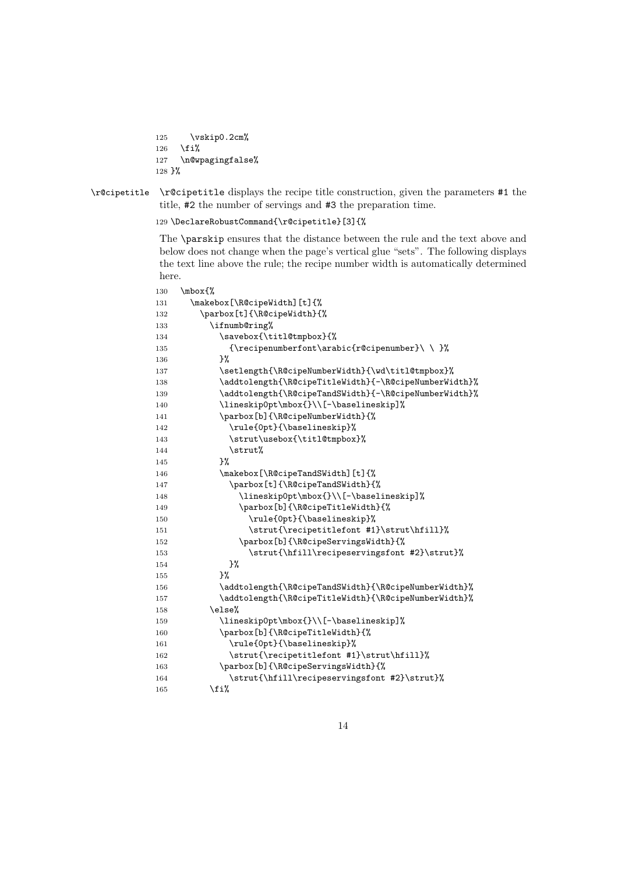125 \vskip0.2cm% 126  $\overline{\text{if}}$  \n@wpagingfalse% }%

\r@cipetitle \r@cipetitle displays the recipe title construction, given the parameters #1 the title, #2 the number of servings and #3 the preparation time.

\DeclareRobustCommand{\r@cipetitle}[3]{%

The \parskip ensures that the distance between the rule and the text above and below does not change when the page's vertical glue "sets". The following displays the text line above the rule; the recipe number width is automatically determined here.

| 130 | \mbox{%                                               |
|-----|-------------------------------------------------------|
| 131 | \makebox[\R@cipeWidth][t]{%                           |
| 132 | \parbox[t]{\R@cipeWidth}{%                            |
| 133 | \ifnumb@ring%                                         |
| 134 | \savebox{\titl@tmpbox}{%                              |
| 135 | {\recipenumberfont\arabic{r@cipenumber}\\}%           |
| 136 | }‰                                                    |
| 137 | \setlength{\R@cipeNumberWidth}{\wd\titl@tmpbox}%      |
| 138 | \addtolength{\R@cipeTitleWidth}{-\R@cipeNumberWidth}% |
| 139 | \addtolength{\R@cipeTandSWidth}{-\R@cipeNumberWidth}% |
| 140 | \lineskip0pt\mbox{}\\[-\baselineskip]%                |
| 141 | \parbox[b]{\R@cipeNumberWidth}{%                      |
| 142 | \rule{0pt}{\baselineskip}%                            |
| 143 | \strut\usebox{\titl@tmpbox}%                          |
| 144 | \strut%                                               |
| 145 | }%                                                    |
| 146 | \makebox[\R@cipeTandSWidth][t]{%                      |
| 147 | \parbox[t]{\R@cipeTandSWidth}{%                       |
| 148 | \lineskip0pt\mbox{}\\[-\baselineskip]%                |
| 149 | \parbox[b]{\R@cipeTitleWidth}{%                       |
| 150 | \rule{0pt}{\baselineskip}%                            |
| 151 | \strut{\recipetitlefont #1}\strut\hfill}%             |
| 152 | \parbox[b]{\R@cipeServingsWidth}{%                    |
| 153 | \strut{\hfill\recipeservingsfont #2}\strut}%          |
| 154 | }%                                                    |
| 155 | ን%                                                    |
| 156 | \addtolength{\R@cipeTandSWidth}{\R@cipeNumberWidth}%  |
| 157 | \addtolength{\R@cipeTitleWidth}{\R@cipeNumberWidth}%  |
| 158 | \else%                                                |
| 159 | \lineskip0pt\mbox{}\\[-\baselineskip]%                |
| 160 | \parbox[b]{\R@cipeTitleWidth}{%                       |
| 161 | \rule{0pt}{\baselineskip}%                            |
| 162 | \strut{\recipetitlefont #1}\strut\hfill}%             |
| 163 | \parbox[b]{\R@cipeServingsWidth}{%                    |
| 164 | \strut{\hfill\recipeservingsfont #2}\strut}%          |
| 165 | \fi%                                                  |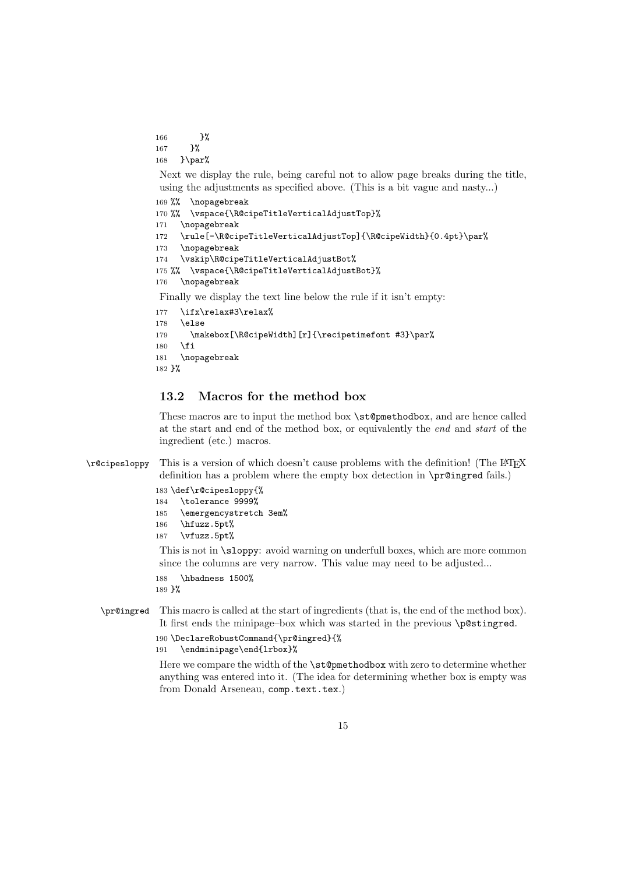166 }% 167 }% 168 }\par%

Next we display the rule, being careful not to allow page breaks during the title, using the adjustments as specified above. (This is a bit vague and nasty...)

```
169 %% \nopagebreak
170 %% \vspace{\R@cipeTitleVerticalAdjustTop}%
171 \nopagebreak
172 \rule[-\R@cipeTitleVerticalAdjustTop]{\R@cipeWidth}{0.4pt}\par%
173 \nopagebreak
174 \vskip\R@cipeTitleVerticalAdjustBot%
175 %% \vspace{\R@cipeTitleVerticalAdjustBot}%
176 \nopagebreak
Finally we display the text line below the rule if it isn't empty:
177 \ifx\relax#3\relax%
178 \else
179 \makebox[\R@cipeWidth][r]{\recipetimefont #3}\par%
180 \fi
```

```
181 \nopagebreak
182 }%
```
#### 13.2 Macros for the method box

These macros are to input the method box \st@pmethodbox, and are hence called at the start and end of the method box, or equivalently the end and start of the ingredient (etc.) macros.

- \r@cipesloppy This is a version of which doesn't cause problems with the definition! (The LATEX definition has a problem where the empty box detection in \pr@ingred fails.)
	- 183 \def\r@cipesloppy{%
	- 184 \tolerance 9999%
	- 185 \emergencystretch 3em%
	- 186 \hfuzz.5pt%
	- 187 \vfuzz.5pt%

This is not in \sloppy: avoid warning on underfull boxes, which are more common since the columns are very narrow. This value may need to be adjusted...

- 188 \hbadness 1500%
- 189 }%
- \pr@ingred This macro is called at the start of ingredients (that is, the end of the method box). It first ends the minipage–box which was started in the previous \p@stingred.

```
190 \DeclareRobustCommand{\pr@ingred}{%
191 \endminipage\end{lrbox}%
```
Here we compare the width of the **\st@pmethodbox** with zero to determine whether anything was entered into it. (The idea for determining whether box is empty was from Donald Arseneau, comp.text.tex.)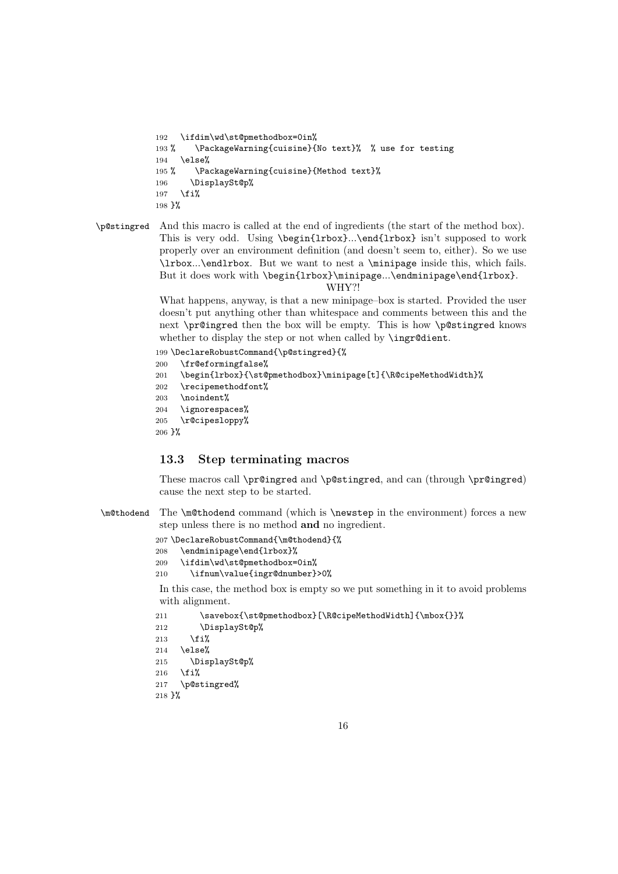```
192 \ifdim\wd\st@pmethodbox=0in%
193 % \PackageWarning{cuisine}{No text}% % use for testing
194 \else%
195 % \PackageWarning{cuisine}{Method text}%
196 \DisplaySt@p%
197 \{f_i\}198 }%
```
\p@stingred And this macro is called at the end of ingredients (the start of the method box). This is very odd. Using \begin{lrbox}...\end{lrbox} isn't supposed to work properly over an environment definition (and doesn't seem to, either). So we use \lrbox...\endlrbox. But we want to nest a \minipage inside this, which fails. But it does work with \begin{lrbox}\minipage...\endminipage\end{lrbox}.

#### WHY?!

What happens, anyway, is that a new minipage–box is started. Provided the user doesn't put anything other than whitespace and comments between this and the next \pr@ingred then the box will be empty. This is how \p@stingred knows whether to display the step or not when called by **\ingr@dient**.

```
199 \DeclareRobustCommand{\p@stingred}{%
```

```
200 \fr@eformingfalse%
```

```
201 \begin{lrbox}{\st@pmethodbox}\minipage[t]{\R@cipeMethodWidth}%
```

```
202 \recipemethodfont%
```

```
203 \noindent%
```

```
204 \ignorespaces%
```

```
205 \r@cipesloppy%
```

```
206 }%
```
#### 13.3 Step terminating macros

These macros call \pr@ingred and \p@stingred, and can (through \pr@ingred) cause the next step to be started.

```
\m@thodend The \m@thodend command (which is \newstep in the environment) forces a new
           step unless there is no method and no ingredient.
```

```
207 \DeclareRobustCommand{\m@thodend}{%
```

```
208 \endminipage\end{lrbox}%
```

```
209 \ifdim\wd\st@pmethodbox=0in%
```

```
210 \ifnum\value{ingr@dnumber}>0%
```
In this case, the method box is empty so we put something in it to avoid problems with alignment.

```
211 \savebox{\st@pmethodbox}[\R@cipeMethodWidth]{\mbox{}}%
212 \DisplaySt@p%
213 \{f_i\}214 \else%
215 \DisplaySt@p%
216 \fi%
217 \p@stingred%
218 }%
```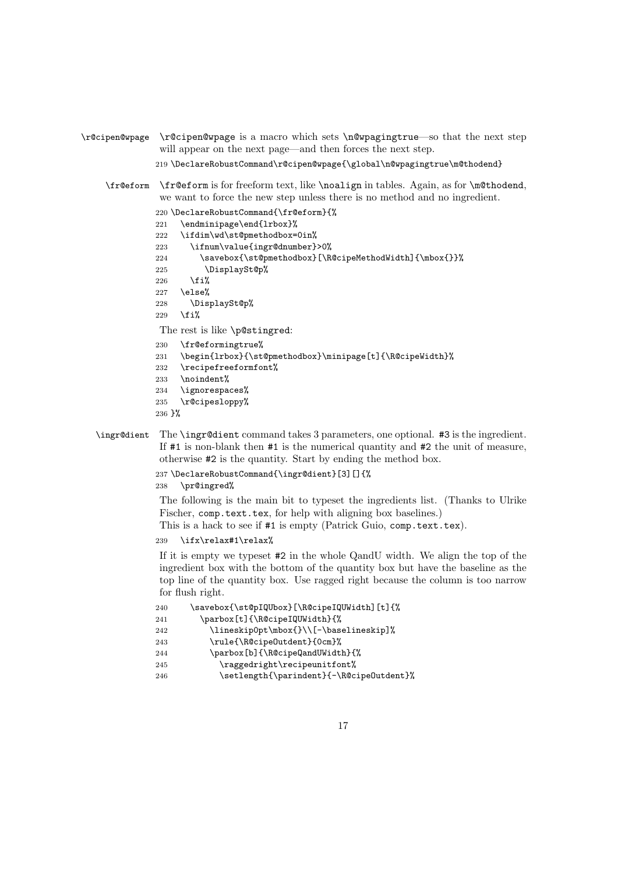\r@cipen@wpage \r@cipen@wpage is a macro which sets \n@wpagingtrue—so that the next step will appear on the next page—and then forces the next step.

219 \DeclareRobustCommand\r@cipen@wpage{\global\n@wpagingtrue\m@thodend}

\fr@eform \fr@eform is for freeform text, like \noalign in tables. Again, as for \m@thodend, we want to force the new step unless there is no method and no ingredient.

```
220 \DeclareRobustCommand{\fr@eform}{%
221 \endminipage\end{lrbox}%
222 \ifdim\wd\st@pmethodbox=0in%
223 \ifnum\value{ingr@dnumber}>0%
224 \savebox{\st@pmethodbox}[\R@cipeMethodWidth]{\mbox{}}%
225 \DisplaySt@p%
226 \{5\}227 \else%
228 \DisplaySt@p%
229 \foralli%
```
The rest is like \p@stingred:

- 230 \fr@eformingtrue%
- 231 \begin{lrbox}{\st@pmethodbox}\minipage[t]{\R@cipeWidth}%
- 232 \recipefreeformfont%
- 233 \noindent%
- 234 \ignorespaces%
- 235 \r@cipesloppy%
- 236 }%

```
\ingr@dient The \ingr@dient command takes 3 parameters, one optional. #3 is the ingredient.
             If #1 is non-blank then #1 is the numerical quantity and #2 the unit of measure,
             otherwise #2 is the quantity. Start by ending the method box.
```
- 237 \DeclareRobustCommand{\ingr@dient}[3][]{%
- 238 \pr@ingred%

The following is the main bit to typeset the ingredients list. (Thanks to Ulrike Fischer, comp.text.tex, for help with aligning box baselines.)

This is a hack to see if #1 is empty (Patrick Guio, comp.text.tex).

```
239 \ifx\relax#1\relax%
```
If it is empty we typeset #2 in the whole QandU width. We align the top of the ingredient box with the bottom of the quantity box but have the baseline as the top line of the quantity box. Use ragged right because the column is too narrow for flush right.

```
240 \savebox{\st@pIQUbox}[\R@cipeIQUWidth][t]{%
241 \parbox[t]{\R@cipeIQUWidth}{%
242 \lineskip0pt\mbox{}\\[-\baselineskip]%
243 \rule{\R@cipeOutdent}{0cm}%
244 \parbox[b]{\R@cipeQandUWidth}{%
245 \raggedright\recipeunitfont%
246 \setlength{\parindent}{-\R@cipeOutdent}%
```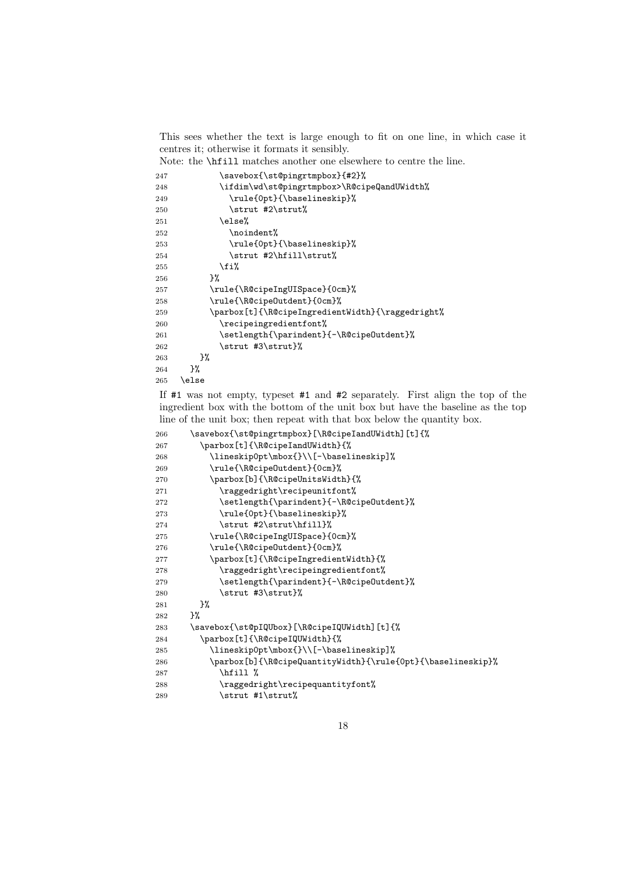This sees whether the text is large enough to fit on one line, in which case it centres it; otherwise it formats it sensibly.

Note: the \hfill matches another one elsewhere to centre the line.

| 247 | \savebox{\st@pingrtmpbox}{#2}%                   |
|-----|--------------------------------------------------|
| 248 | \ifdim\wd\st@pingrtmpbox>\R@cipeQandUWidth%      |
| 249 | \rule{0pt}{\baselineskip}%                       |
| 250 | \strut #2\strut%                                 |
| 251 | \else%                                           |
| 252 | \noindent%                                       |
| 253 | \rule{0pt}{\baselineskip}%                       |
| 254 | \strut #2\hfill\strut%                           |
| 255 | \fi%                                             |
| 256 | }‰                                               |
| 257 | \rule{\R@cipeIngUISpace}{0cm}%                   |
| 258 | \rule{\R@cipeOutdent}{0cm}%                      |
| 259 | \parbox[t]{\R@cipeIngredientWidth}{\raggedright% |
| 260 | \recipeingredientfont%                           |
| 261 | \setlength{\parindent}{-\R@cipeOutdent}%         |
| 262 | \strut #3\strut}%                                |
| 263 | }‰                                               |
| 264 | ጉ%                                               |
| 265 | \else                                            |

If #1 was not empty, typeset #1 and #2 separately. First align the top of the ingredient box with the bottom of the unit box but have the baseline as the top line of the unit box; then repeat with that box below the quantity box.

| 266 | \savebox{\st@pingrtmpbox}[\R@cipeIandUWidth][t]{%           |
|-----|-------------------------------------------------------------|
| 267 | \parbox[t]{\R@cipeIandUWidth}{%                             |
| 268 | \lineskip0pt\mbox{}\\[-\baselineskip]%                      |
| 269 | \rule{\R@cipeOutdent}{0cm}%                                 |
| 270 | \parbox[b]{\R@cipeUnitsWidth}{%                             |
| 271 | \raggedright\recipeunitfont%                                |
| 272 | \setlength{\parindent}{-\R@cipeOutdent}%                    |
| 273 | \rule{0pt}{\baselineskip}%                                  |
| 274 | \strut #2\strut\hfill}%                                     |
| 275 | \rule{\R@cipeIngUISpace}{0cm}%                              |
| 276 | \rule{\R@cipeOutdent}{0cm}%                                 |
| 277 | \parbox[t]{\R@cipeIngredientWidth}{%                        |
| 278 | \raggedright\recipeingredientfont%                          |
| 279 | \setlength{\parindent}{-\R@cipeOutdent}%                    |
| 280 | \strut #3\strut}%                                           |
| 281 | }‰                                                          |
| 282 | ን%                                                          |
| 283 | \savebox{\st@pIQUbox}[\R@cipeIQUWidth][t]{%                 |
| 284 | \parbox[t]{\R@cipeIQUWidth}{%                               |
| 285 | \lineskip0pt\mbox{}\\[-\baselineskip]%                      |
| 286 | \parbox[b]{\R@cipeQuantityWidth}{\rule{0pt}{\baselineskip}% |
| 287 | \hfill %                                                    |
| 288 | \raggedright\recipequantityfont%                            |
| 289 | \strut #1\strut%                                            |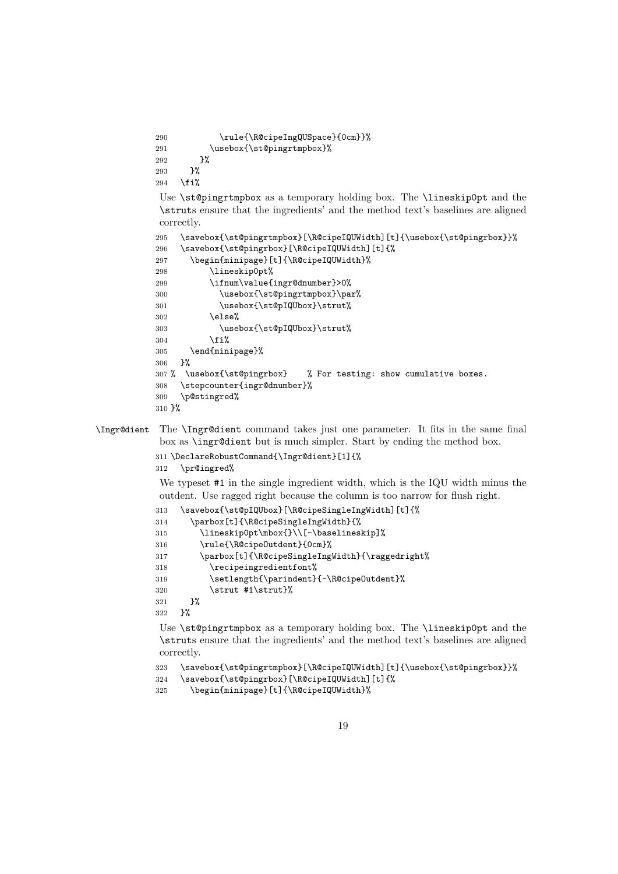```
290 \rule{\R@cipeIngQUSpace}{0cm}}%
291 \usebox{\st@pingrtmpbox}%
292 }%
293 }%
294 \overline{\text{fi}}
```
Use \st@pingrtmpbox as a temporary holding box. The \lineskip0pt and the \struts ensure that the ingredients' and the method text's baselines are aligned correctly.

```
295 \savebox{\st@pingrtmpbox}[\R@cipeIQUWidth][t]{\usebox{\st@pingrbox}}%
296 \savebox{\st@pingrbox}[\R@cipeIQUWidth][t]{%
297 \begin{minipage}[t]{\R@cipeIQUWidth}%
298 \lineskip0pt%
299 \ifnum\value{ingr@dnumber}>0%
300 \usebox{\st@pingrtmpbox}\par%
301 \usebox{\st@pIQUbox}\strut%
302 \else%
303 \usebox{\st@pIQUbox}\strut%
304 \quad \text{ifi%}305 \end{minipage}%
306 }%
307 % \usebox{\st@pingrbox} % For testing: show cumulative boxes.
308 \stepcounter{ingr@dnumber}%
309 \p@stingred%
310 }%
```
#### \Ingr@dient The \Ingr@dient command takes just one parameter. It fits in the same final box as \ingr@dient but is much simpler. Start by ending the method box.

```
311 \DeclareRobustCommand{\Ingr@dient}[1]{%
312 \pr@ingred%
```
We typeset #1 in the single ingredient width, which is the IQU width minus the outdent. Use ragged right because the column is too narrow for flush right.

```
313 \savebox{\st@pIQUbox}[\R@cipeSingleIngWidth][t]{%
314 \parbox[t]{\R@cipeSingleIngWidth}{%
315 \lineskip0pt\mbox{}\\[-\baselineskip]%
316 \rule{\R@cipeOutdent}{0cm}%
317 \parbox[t]{\R@cipeSingleIngWidth}{\raggedright%
318 \recipeingredientfont%
319 \setlength{\parindent}{-\R@cipeOutdent}%
320 \strut #1\strut}%
321 } ?
322 \frac{1}{2}
```
Use \st@pingrtmpbox as a temporary holding box. The \lineskip0pt and the \struts ensure that the ingredients' and the method text's baselines are aligned correctly.

```
323 \savebox{\st@pingrtmpbox}[\R@cipeIQUWidth][t]{\usebox{\st@pingrbox}}%
```

```
324 \savebox{\st@pingrbox}[\R@cipeIQUWidth][t]{%
```

```
325 \begin{minipage}[t]{\R@cipeIQUWidth}%
```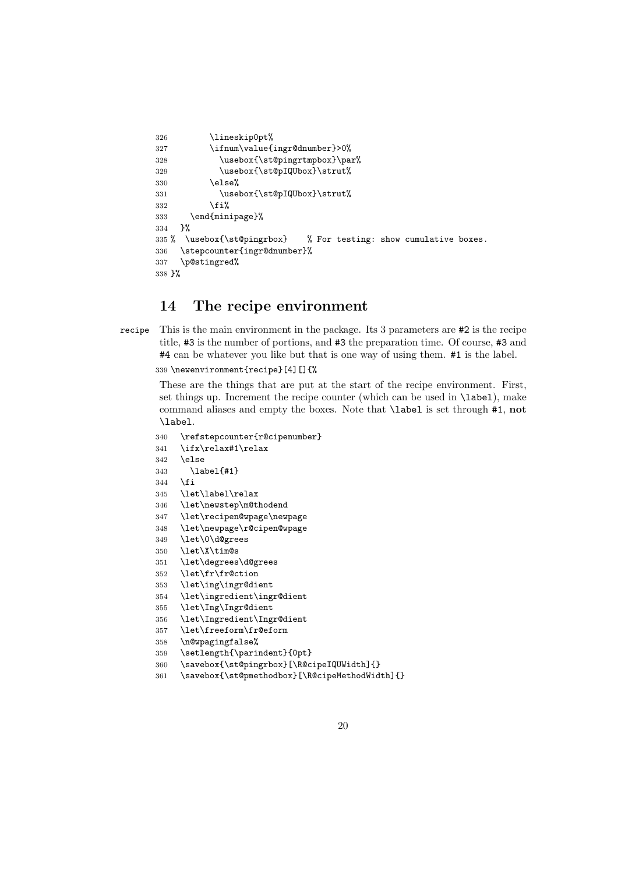```
326 \lineskip0pt%
327 \ifnum\value{ingr@dnumber}>0%
328 \usebox{\st@pingrtmpbox}\par%
329 \usebox{\st@pIQUbox}\strut%
330 \else%
331 \usebox{\st@pIQUbox}\strut%
332 \overrightarrow{fi}333 \end{minipage}%
334 }%
335 % \usebox{\st@pingrbox} % For testing: show cumulative boxes.
336 \stepcounter{ingr@dnumber}%
337 \p@stingred%
338 }%
```
### 14 The recipe environment

recipe This is the main environment in the package. Its 3 parameters are #2 is the recipe title, #3 is the number of portions, and #3 the preparation time. Of course, #3 and #4 can be whatever you like but that is one way of using them. #1 is the label.

\newenvironment{recipe}[4][]{%

These are the things that are put at the start of the recipe environment. First, set things up. Increment the recipe counter (which can be used in \label), make command aliases and empty the boxes. Note that \label is set through #1, not \label.

- \refstepcounter{r@cipenumber}
- \ifx\relax#1\relax
- \else
- \label{#1}
- \fi
- \let\label\relax
- \let\newstep\m@thodend
- \let\recipen@wpage\newpage
- \let\newpage\r@cipen@wpage
- \let\0\d@grees
- \let\X\tim@s
- \let\degrees\d@grees
- \let\fr\fr@ction
- \let\ing\ingr@dient
- \let\ingredient\ingr@dient
- \let\Ing\Ingr@dient
- \let\Ingredient\Ingr@dient
- \let\freeform\fr@eform
- \n@wpagingfalse%
- \setlength{\parindent}{0pt}
- \savebox{\st@pingrbox}[\R@cipeIQUWidth]{}
- \savebox{\st@pmethodbox}[\R@cipeMethodWidth]{}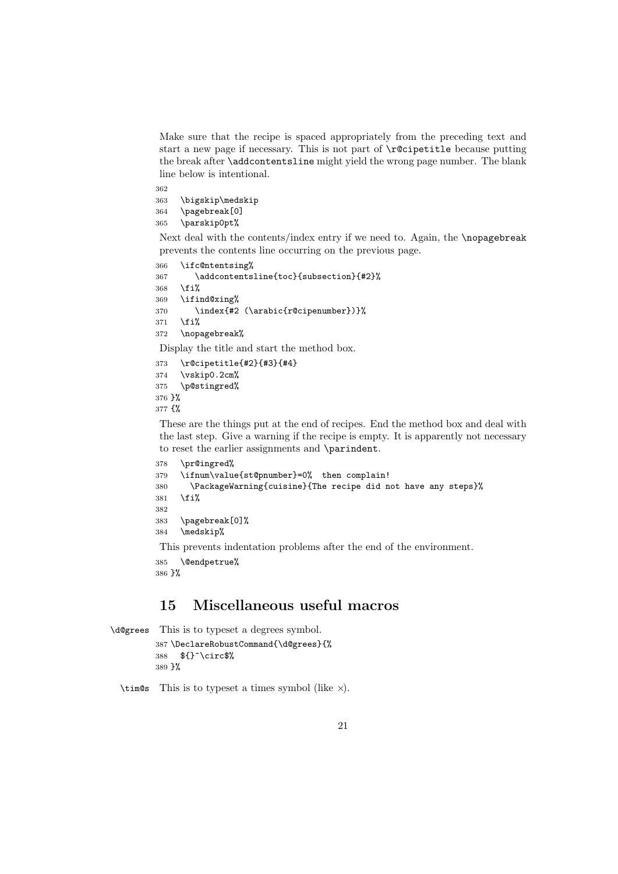Make sure that the recipe is spaced appropriately from the preceding text and start a new page if necessary. This is not part of \r@cipetitle because putting the break after \addcontentsline might yield the wrong page number. The blank line below is intentional.

 \bigskip\medskip \pagebreak[0] \parskip0pt%

Next deal with the contents/index entry if we need to. Again, the \nopagebreak prevents the contents line occurring on the previous page.

```
366 \ifc@ntentsing%
367 \addcontentsline{toc}{subsection}{#2}%
368 \fi%
369 \ifind@xing%
370 \index{#2 (\arabic{r@cipenumber})}%
371 \fi%
372 \nopagebreak%
```
Display the title and start the method box.

```
373 \r@cipetitle{#2}{#3}{#4}
374 \vskip0.2cm%
375 \p@stingred%
376 }%
377 {%
```
These are the things put at the end of recipes. End the method box and deal with the last step. Give a warning if the recipe is empty. It is apparently not necessary to reset the earlier assignments and \parindent.

```
378 \pr@ingred%
379 \ifnum\value{st@pnumber}=0% then complain!
380 \PackageWarning{cuisine}{The recipe did not have any steps}%
381 \fi%
382
383 \pagebreak[0]%
384 \medskip%
This prevents indentation problems after the end of the environment.
```
\@endpetrue%

```
386 }%
```
## 15 Miscellaneous useful macros

```
\d@grees This is to typeset a degrees symbol.
```

```
387 \DeclareRobustCommand{\d@grees}{%
388 ${}^\circ$%
389 }%
```
\tim@s This is to typeset a times symbol (like ×).